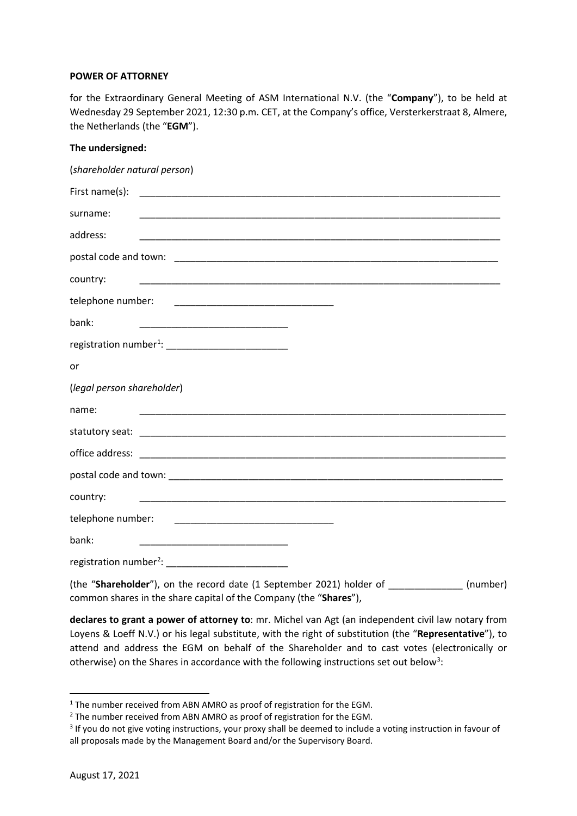## **POWER OF ATTORNEY**

for the Extraordinary General Meeting of ASM International N.V. (the "**Company**"), to be held at Wednesday 29 September 2021, 12:30 p.m. CET, at the Company's office, Versterkerstraat 8, Almere, the Netherlands (the "**EGM**").

## **The undersigned:**

| (shareholder natural person)                                                                                                   |
|--------------------------------------------------------------------------------------------------------------------------------|
|                                                                                                                                |
| surname:                                                                                                                       |
| address:<br><u> 1989 - Johann Stoff, amerikansk politiker (d. 1989)</u>                                                        |
|                                                                                                                                |
| country:                                                                                                                       |
| telephone number:                                                                                                              |
| bank:<br><u> 1999 - Johann John Harry Harry Harry Harry Harry Harry Harry Harry Harry Harry Harry Harry Harry Harry Harry</u>  |
| registration number <sup>1</sup> : ___________________________                                                                 |
| or                                                                                                                             |
| (legal person shareholder)                                                                                                     |
| name:                                                                                                                          |
|                                                                                                                                |
|                                                                                                                                |
|                                                                                                                                |
| country:<br><u> 1989 - Johann Stoff, amerikansk politiker (d. 1989)</u>                                                        |
|                                                                                                                                |
| bank:<br><u> 1999 - Johann John Stone, markin film yn y brening yn y brening yn y brening yn y brening yn y brening yn y b</u> |
| registration number <sup>2</sup> : ____________________________                                                                |

(the "**Shareholder**"), on the record date (1 September 2021) holder of \_\_\_\_\_\_\_\_\_\_\_\_\_\_ (number) common shares in the share capital of the Company (the "**Shares**"),

**declares to grant a power of attorney to**: mr. Michel van Agt (an independent civil law notary from Loyens & Loeff N.V.) or his legal substitute, with the right of substitution (the "**Representative**"), to attend and address the EGM on behalf of the Shareholder and to cast votes (electronically or otherwise) on the Shares in accordance with the following instructions set out below<sup>[3](#page-0-2)</sup>:

<span id="page-0-0"></span><sup>&</sup>lt;sup>1</sup> The number received from ABN AMRO as proof of registration for the EGM.

<span id="page-0-1"></span><sup>&</sup>lt;sup>2</sup> The number received from ABN AMRO as proof of registration for the EGM.

<span id="page-0-2"></span><sup>&</sup>lt;sup>3</sup> If you do not give voting instructions, your proxy shall be deemed to include a voting instruction in favour of all proposals made by the Management Board and/or the Supervisory Board.